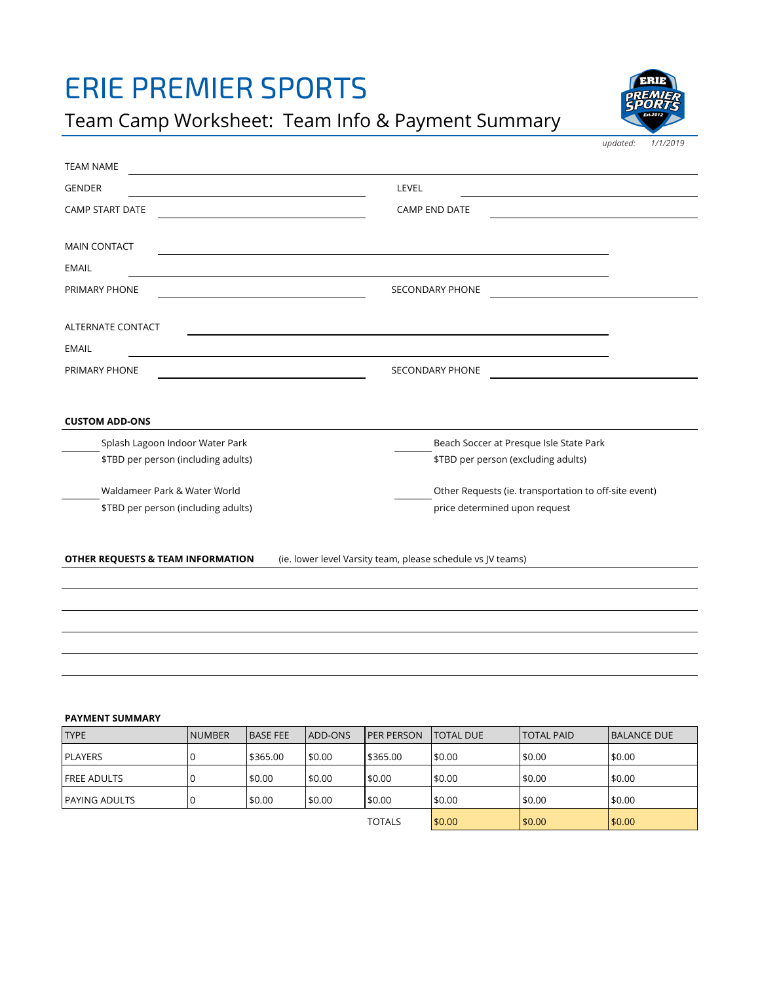## ERIE PREMIER SPORTS

Team Camp Worksheet: Team Info & Payment Summary



*updated: 1/1/2019*

| <b>TEAM NAME</b>                                                                                                                             |                                                                           |
|----------------------------------------------------------------------------------------------------------------------------------------------|---------------------------------------------------------------------------|
| <b>GENDER</b><br><u> 1989 - Johann Stein, mars an deus Amerikaansk kommunister (</u>                                                         | LEVEL                                                                     |
| <b>CAMP START DATE</b>                                                                                                                       | <b>CAMP END DATE</b>                                                      |
| <b>MAIN CONTACT</b><br><u> 1989 - Johann Stein, marwolaethau a bhann an t-Amhain ann an t-Amhain an t-Amhain an t-Amhain an t-Amhain an </u> |                                                                           |
| <b>EMAIL</b><br><u> 1980 - Johann Barn, mars an t-Amerikaansk kommunister (</u>                                                              |                                                                           |
| PRIMARY PHONE<br>the control of the control of the control of the control of the control of                                                  | <b>SECONDARY PHONE</b>                                                    |
| <b>ALTERNATE CONTACT</b>                                                                                                                     | <u> 1989 - Johann Stoff, amerikansk politiker (d. 1989)</u>               |
| <b>EMAIL</b>                                                                                                                                 |                                                                           |
| PRIMARY PHONE                                                                                                                                | <b>SECONDARY PHONE</b><br>the contract of the contract of the contract of |
|                                                                                                                                              |                                                                           |
| <b>CUSTOM ADD-ONS</b>                                                                                                                        |                                                                           |
| Splash Lagoon Indoor Water Park                                                                                                              | Beach Soccer at Presque Isle State Park                                   |
| \$TBD per person (including adults)                                                                                                          | \$TBD per person (excluding adults)                                       |
| Waldameer Park & Water World                                                                                                                 | Other Requests (ie. transportation to off-site event)                     |
| \$TBD per person (including adults)                                                                                                          | price determined upon request                                             |
|                                                                                                                                              |                                                                           |
| OTHER REQUESTS & TEAM INFORMATION                                                                                                            | (ie. lower level Varsity team, please schedule vs JV teams)               |
|                                                                                                                                              |                                                                           |
|                                                                                                                                              |                                                                           |
|                                                                                                                                              |                                                                           |
|                                                                                                                                              |                                                                           |

#### **PAYMENT SUMMARY**

| <b>TYPE</b>    | <b>INUMBER</b> | <b>BASE FEE</b> | <b>JADD-ONS</b> | <b>IPER PERSON</b> | ITOTAL DUE | <b>TOTAL PAID</b> | <b>IBALANCE DUE</b> |
|----------------|----------------|-----------------|-----------------|--------------------|------------|-------------------|---------------------|
| <b>PLAYERS</b> |                | 5365.00         | \$0.00          | 5365.00            | \$0.00     | \$0.00            | \$0.00              |
| FREE ADULTS    |                | \$0.00          | \$0.00          | \$0.00             | \$0.00     | \$0.00            | \$0.00              |
| lPAYING ADULTS |                | \$0.00          | \$0.00          | \$0.00             | \$0.00     | \$0.00            | \$0.00              |
|                |                |                 |                 | <b>TOTALS</b>      | \$0.00     | \$0.00            | \$0.00              |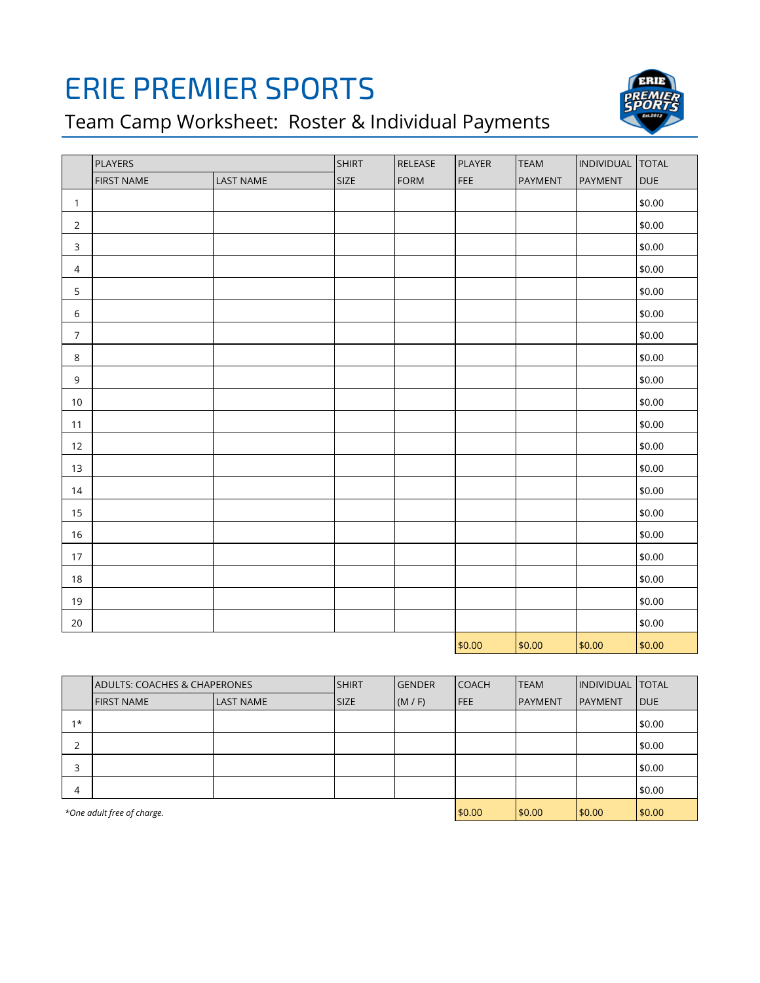# ERIE PREMIER SPORTS

Team Camp Worksheet: Roster & Individual Payments



|                | PLAYERS           |                  | <b>SHIRT</b> | RELEASE | PLAYER | <b>TEAM</b> | INDIVIDUAL TOTAL |            |
|----------------|-------------------|------------------|--------------|---------|--------|-------------|------------------|------------|
|                | <b>FIRST NAME</b> | <b>LAST NAME</b> | SIZE         | FORM    | FEE    | PAYMENT     | PAYMENT          | <b>DUE</b> |
| $\mathbf{1}$   |                   |                  |              |         |        |             |                  | \$0.00     |
| $\sqrt{2}$     |                   |                  |              |         |        |             |                  | \$0.00     |
| $\mathsf 3$    |                   |                  |              |         |        |             |                  | \$0.00     |
| $\sqrt{4}$     |                   |                  |              |         |        |             |                  | \$0.00     |
| 5              |                   |                  |              |         |        |             |                  | \$0.00     |
| 6              |                   |                  |              |         |        |             |                  | \$0.00     |
| $\overline{7}$ |                   |                  |              |         |        |             |                  | \$0.00     |
| $\,8\,$        |                   |                  |              |         |        |             |                  | \$0.00     |
| $\mathsf 9$    |                   |                  |              |         |        |             |                  | \$0.00     |
| $10$           |                   |                  |              |         |        |             |                  | \$0.00     |
| 11             |                   |                  |              |         |        |             |                  | \$0.00     |
| 12             |                   |                  |              |         |        |             |                  | \$0.00     |
| 13             |                   |                  |              |         |        |             |                  | \$0.00     |
| 14             |                   |                  |              |         |        |             |                  | \$0.00     |
| 15             |                   |                  |              |         |        |             |                  | \$0.00     |
| 16             |                   |                  |              |         |        |             |                  | \$0.00     |
| 17             |                   |                  |              |         |        |             |                  | \$0.00     |
| $18\,$         |                   |                  |              |         |        |             |                  | \$0.00     |
| 19             |                   |                  |              |         |        |             |                  | \$0.00     |
| 20             |                   |                  |              |         |        |             |                  | \$0.00     |
|                |                   |                  |              |         | \$0.00 | \$0.00      | \$0.00           | \$0.00     |

|                            | <b>ADULTS: COACHES &amp; CHAPERONES</b> |                  | <b>SHIRT</b> | <b>GENDER</b> | <b>COACH</b> | <b>TEAM</b>    | <b>INDIVIDUAL TOTAL</b> |             |
|----------------------------|-----------------------------------------|------------------|--------------|---------------|--------------|----------------|-------------------------|-------------|
|                            | <b>FIRST NAME</b>                       | <b>LAST NAME</b> | <b>SIZE</b>  | (M/F)         | <b>FEE</b>   | <b>PAYMENT</b> | <b>PAYMENT</b>          | <b>IDUE</b> |
| $1*$                       |                                         |                  |              |               |              |                |                         | 50.00       |
| $\overline{2}$             |                                         |                  |              |               |              |                |                         | \$0.00      |
| 3                          |                                         |                  |              |               |              |                |                         | \$0.00      |
| $\overline{4}$             |                                         |                  |              |               |              |                |                         | 50.00       |
| *One adult free of charge. |                                         |                  |              |               | \$0.00       | \$0.00         | 50.00                   | \$0.00      |